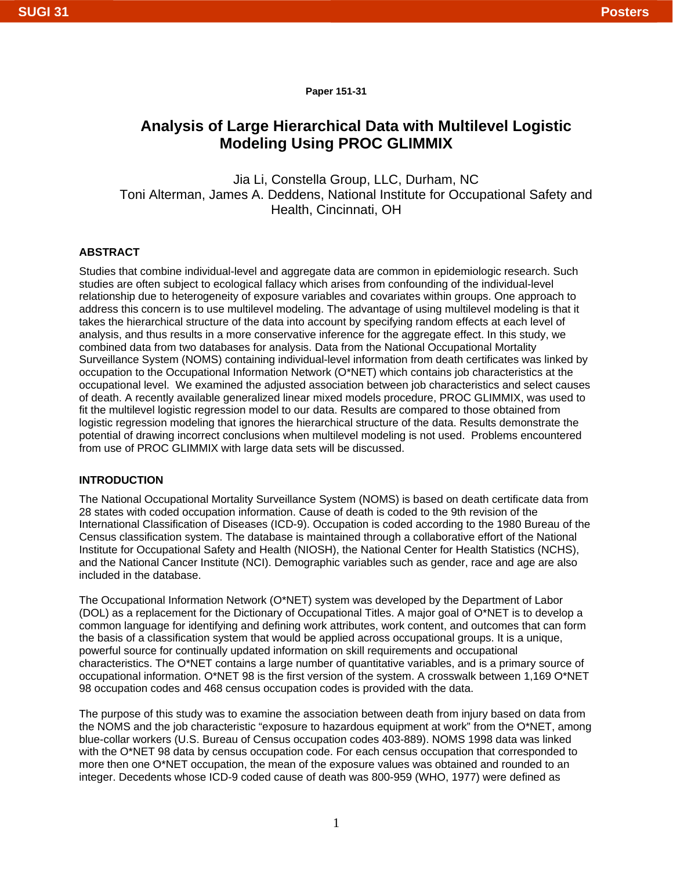**Paper 151-31**

# **Analysis of Large Hierarchical Data with Multilevel Logistic Modeling Using PROC GLIMMIX**

Jia Li, Constella Group, LLC, Durham, NC Toni Alterman, James A. Deddens, National Institute for Occupational Safety and Health, Cincinnati, OH

# **ABSTRACT**

Studies that combine individual-level and aggregate data are common in epidemiologic research. Such studies are often subject to ecological fallacy which arises from confounding of the individual-level relationship due to heterogeneity of exposure variables and covariates within groups. One approach to address this concern is to use multilevel modeling. The advantage of using multilevel modeling is that it takes the hierarchical structure of the data into account by specifying random effects at each level of analysis, and thus results in a more conservative inference for the aggregate effect. In this study, we combined data from two databases for analysis. Data from the National Occupational Mortality Surveillance System (NOMS) containing individual-level information from death certificates was linked by occupation to the Occupational Information Network (O\*NET) which contains job characteristics at the occupational level. We examined the adjusted association between job characteristics and select causes of death. A recently available generalized linear mixed models procedure, PROC GLIMMIX, was used to fit the multilevel logistic regression model to our data. Results are compared to those obtained from logistic regression modeling that ignores the hierarchical structure of the data. Results demonstrate the potential of drawing incorrect conclusions when multilevel modeling is not used. Problems encountered from use of PROC GLIMMIX with large data sets will be discussed.

# **INTRODUCTION**

The National Occupational Mortality Surveillance System (NOMS) is based on death certificate data from 28 states with coded occupation information. Cause of death is coded to the 9th revision of the International Classification of Diseases (ICD-9). Occupation is coded according to the 1980 Bureau of the Census classification system. The database is maintained through a collaborative effort of the National Institute for Occupational Safety and Health (NIOSH), the National Center for Health Statistics (NCHS), and the National Cancer Institute (NCI). Demographic variables such as gender, race and age are also included in the database.

The Occupational Information Network (O\*NET) system was developed by the Department of Labor (DOL) as a replacement for the Dictionary of Occupational Titles. A major goal of O\*NET is to develop a common language for identifying and defining work attributes, work content, and outcomes that can form the basis of a classification system that would be applied across occupational groups. It is a unique, powerful source for continually updated information on skill requirements and occupational characteristics. The O\*NET contains a large number of quantitative variables, and is a primary source of occupational information. O\*NET 98 is the first version of the system. A crosswalk between 1,169 O\*NET 98 occupation codes and 468 census occupation codes is provided with the data.

The purpose of this study was to examine the association between death from injury based on data from the NOMS and the job characteristic "exposure to hazardous equipment at work" from the O\*NET, among blue-collar workers (U.S. Bureau of Census occupation codes 403-889). NOMS 1998 data was linked with the O\*NET 98 data by census occupation code. For each census occupation that corresponded to more then one O\*NET occupation, the mean of the exposure values was obtained and rounded to an integer. Decedents whose ICD-9 coded cause of death was 800-959 (WHO, 1977) were defined as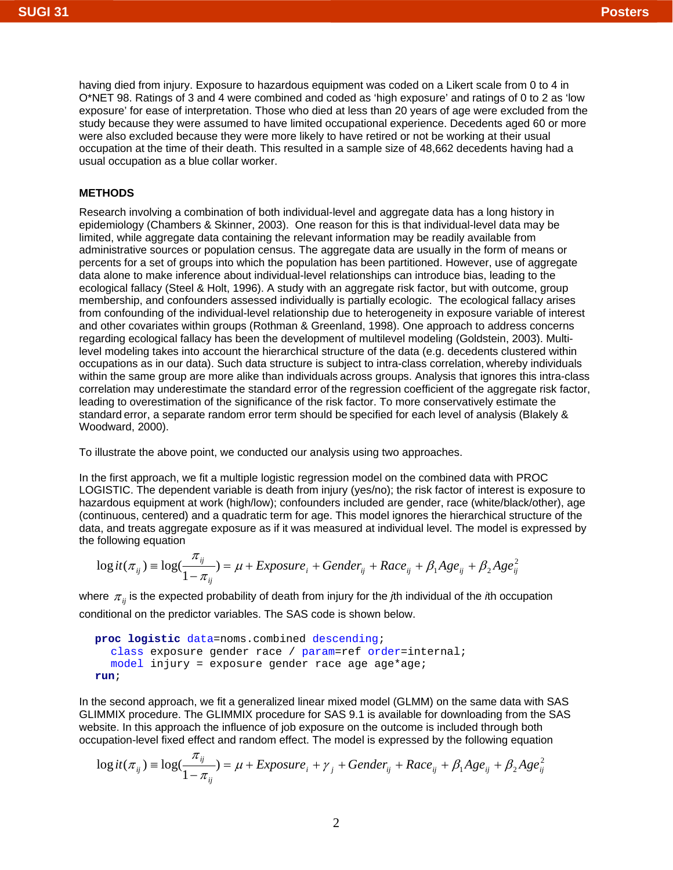having died from injury. Exposure to hazardous equipment was coded on a Likert scale from 0 to 4 in O\*NET 98. Ratings of 3 and 4 were combined and coded as 'high exposure' and ratings of 0 to 2 as 'low exposure' for ease of interpretation. Those who died at less than 20 years of age were excluded from the study because they were assumed to have limited occupational experience. Decedents aged 60 or more were also excluded because they were more likely to have retired or not be working at their usual occupation at the time of their death. This resulted in a sample size of 48,662 decedents having had a usual occupation as a blue collar worker.

# **METHODS**

Research involving a combination of both individual-level and aggregate data has a long history in epidemiology (Chambers & Skinner, 2003). One reason for this is that individual-level data may be limited, while aggregate data containing the relevant information may be readily available from administrative sources or population census. The aggregate data are usually in the form of means or percents for a set of groups into which the population has been partitioned. However, use of aggregate data alone to make inference about individual-level relationships can introduce bias, leading to the ecological fallacy (Steel & Holt, 1996). A study with an aggregate risk factor, but with outcome, group membership, and confounders assessed individually is partially ecologic. The ecological fallacy arises from confounding of the individual-level relationship due to heterogeneity in exposure variable of interest and other covariates within groups (Rothman & Greenland, 1998). One approach to address concerns regarding ecological fallacy has been the development of multilevel modeling (Goldstein, 2003). Multilevel modeling takes into account the hierarchical structure of the data (e.g. decedents clustered within occupations as in our data). Such data structure is subject to intra-class correlation, whereby individuals within the same group are more alike than individuals across groups. Analysis that ignores this intra-class correlation may underestimate the standard error of the regression coefficient of the aggregate risk factor, leading to overestimation of the significance of the risk factor. To more conservatively estimate the standard error, a separate random error term should be specified for each level of analysis (Blakely & Woodward, 2000).

To illustrate the above point, we conducted our analysis using two approaches.

In the first approach, we fit a multiple logistic regression model on the combined data with PROC LOGISTIC. The dependent variable is death from injury (yes/no); the risk factor of interest is exposure to hazardous equipment at work (high/low); confounders included are gender, race (white/black/other), age (continuous, centered) and a quadratic term for age. This model ignores the hierarchical structure of the data, and treats aggregate exposure as if it was measured at individual level. The model is expressed by the following equation

$$
\log it(\pi_{ij}) = \log(\frac{\pi_{ij}}{1 - \pi_{ij}}) = \mu + Exposure_i + Gender_{ij} + Race_{ij} + \beta_1 Age_{ij} + \beta_2 Age_{ij}^2
$$

where <sup>π</sup> *ij* is the expected probability of death from injury for the *j*th individual of the *i*th occupation conditional on the predictor variables. The SAS code is shown below.

```
proc logistic data=noms.combined descending; 
  class exposure gender race / param=ref order=internal; 
  model injury = exposure gender race age age*age; 
run;
```
In the second approach, we fit a generalized linear mixed model (GLMM) on the same data with SAS GLIMMIX procedure. The GLIMMIX procedure for SAS 9.1 is available for downloading from the SAS website. In this approach the influence of job exposure on the outcome is included through both occupation-level fixed effect and random effect. The model is expressed by the following equation

$$
\log it(\pi_{ij}) = \log(\frac{\pi_{ij}}{1 - \pi_{ij}}) = \mu + Exposure_i + \gamma_j + Gender_{ij} + Race_{ij} + \beta_1 Age_{ij} + \beta_2 Age_{ij}^2
$$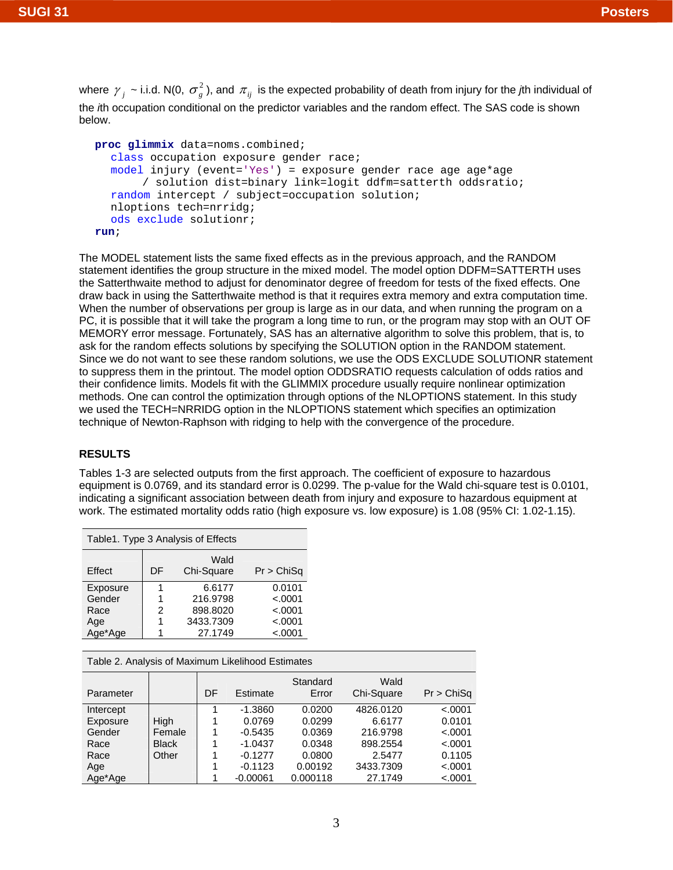where  $\gamma_i \sim$  i.i.d. N(0,  $\sigma_{\varrho}^2$ ), and  $\pi_{ii}$  is the expected probability of death from injury for the *j*th individual of the *i*th occupation conditional on the predictor variables and the random effect. The SAS code is shown below.

```
proc glimmix data=noms.combined; 
  class occupation exposure gender race; 
  model injury (event='Yes') = exposure gender race age age*age 
       / solution dist=binary link=logit ddfm=satterth oddsratio; 
  random intercept / subject=occupation solution; 
   nloptions tech=nrridg; 
  ods exclude solutionr; 
run;
```
The MODEL statement lists the same fixed effects as in the previous approach, and the RANDOM statement identifies the group structure in the mixed model. The model option DDFM=SATTERTH uses the Satterthwaite method to adjust for denominator degree of freedom for tests of the fixed effects. One draw back in using the Satterthwaite method is that it requires extra memory and extra computation time. When the number of observations per group is large as in our data, and when running the program on a PC, it is possible that it will take the program a long time to run, or the program may stop with an OUT OF MEMORY error message. Fortunately, SAS has an alternative algorithm to solve this problem, that is, to ask for the random effects solutions by specifying the SOLUTION option in the RANDOM statement. Since we do not want to see these random solutions, we use the ODS EXCLUDE SOLUTIONR statement to suppress them in the printout. The model option ODDSRATIO requests calculation of odds ratios and their confidence limits. Models fit with the GLIMMIX procedure usually require nonlinear optimization methods. One can control the optimization through options of the NLOPTIONS statement. In this study we used the TECH=NRRIDG option in the NLOPTIONS statement which specifies an optimization technique of Newton-Raphson with ridging to help with the convergence of the procedure.

# **RESULTS**

Tables 1-3 are selected outputs from the first approach. The coefficient of exposure to hazardous equipment is 0.0769, and its standard error is 0.0299. The p-value for the Wald chi-square test is 0.0101, indicating a significant association between death from injury and exposure to hazardous equipment at work. The estimated mortality odds ratio (high exposure vs. low exposure) is 1.08 (95% CI: 1.02-1.15).

| Table 1. Type 3 Analysis of Effects |    |                    |            |  |  |  |  |
|-------------------------------------|----|--------------------|------------|--|--|--|--|
| Effect                              | DF | Wald<br>Chi-Square | Pr > ChiSq |  |  |  |  |
| Exposure                            |    | 6.6177             | 0.0101     |  |  |  |  |
| Gender                              |    | 216.9798           | < .0001    |  |  |  |  |
| Race                                | 2  | 898.8020           | < .0001    |  |  |  |  |
| Age                                 |    | 3433.7309          | < .0001    |  |  |  |  |
| Age*Age                             |    | 27.1749            | < .0001    |  |  |  |  |

Table 2. Analysis of Maximum Likelihood Estimates

| Parameter |              | DF | Estimate   | Standard<br>Error | Wald<br>Chi-Square | Pr > ChiSq |
|-----------|--------------|----|------------|-------------------|--------------------|------------|
| Intercept |              |    | $-1.3860$  | 0.0200            | 4826.0120          | < .0001    |
| Exposure  | <b>High</b>  |    | 0.0769     | 0.0299            | 6.6177             | 0.0101     |
| Gender    | Female       |    | $-0.5435$  | 0.0369            | 216.9798           | $-.0001$   |
| Race      | <b>Black</b> |    | $-1.0437$  | 0.0348            | 898.2554           | < .0001    |
| Race      | Other        |    | $-0.1277$  | 0.0800            | 2.5477             | 0.1105     |
| Age       |              |    | $-0.1123$  | 0.00192           | 3433.7309          | < .0001    |
| Age*Age   |              |    | $-0.00061$ | 0.000118          | 27.1749            | < .0001    |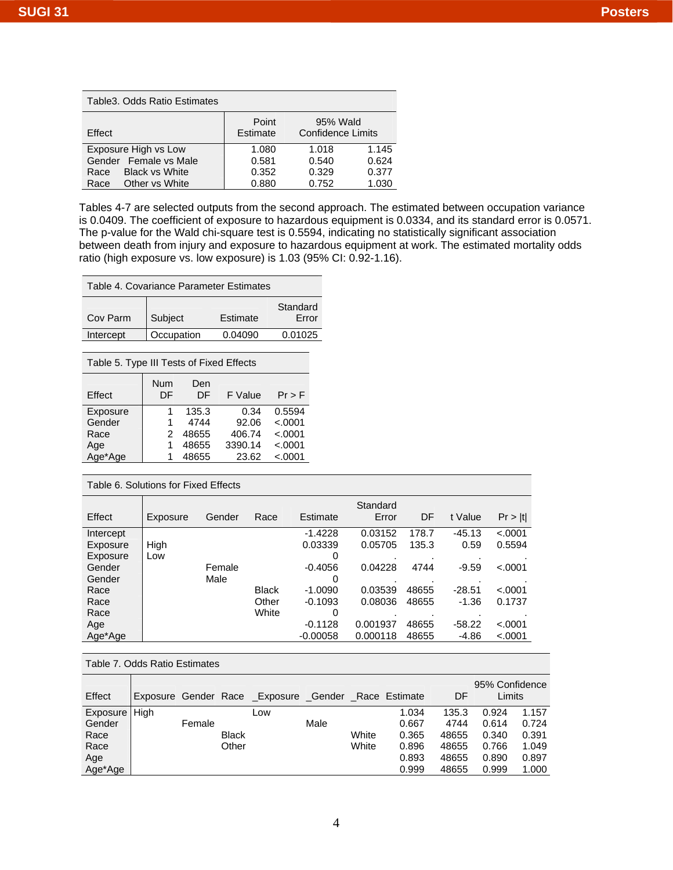| Table 3. Odds Ratio Estimates |                   |                                      |       |  |  |  |  |
|-------------------------------|-------------------|--------------------------------------|-------|--|--|--|--|
| Effect                        | Point<br>Estimate | 95% Wald<br><b>Confidence Limits</b> |       |  |  |  |  |
| Exposure High vs Low          | 1.080             | 1.018                                | 1.145 |  |  |  |  |
| Female vs Male<br>Gender      | 0.581             | 0.540                                | 0.624 |  |  |  |  |
| <b>Black vs White</b><br>Race | 0.352             | 0.329                                | 0.377 |  |  |  |  |
| Other vs White<br>Race        | 0.880             | 0.752                                | 1.030 |  |  |  |  |

Tables 4-7 are selected outputs from the second approach. The estimated between occupation variance is 0.0409. The coefficient of exposure to hazardous equipment is 0.0334, and its standard error is 0.0571. The p-value for the Wald chi-square test is 0.5594, indicating no statistically significant association between death from injury and exposure to hazardous equipment at work. The estimated mortality odds ratio (high exposure vs. low exposure) is 1.03 (95% CI: 0.92-1.16).

| Table 4. Covariance Parameter Estimates |            |          |                   |  |  |  |
|-----------------------------------------|------------|----------|-------------------|--|--|--|
| Cov Parm                                | Subject    | Estimate | Standard<br>Error |  |  |  |
| Intercept                               | Occupation | 0.04090  | 0.01025           |  |  |  |

Table 5. Type III Tests of Fixed Effects

| Effect   | Num<br>DF | Den<br>DE | F Value | $Pr$ > F |
|----------|-----------|-----------|---------|----------|
| Exposure |           | 135.3     | 0.34    | 0.5594   |
| Gender   | 1         | 4744      | 92.06   | < .0001  |
| Race     | 2         | 48655     | 406.74  | < .0001  |
| Age      | 1         | 48655     | 3390.14 | < .0001  |
| Age*Age  |           | 48655     | 23.62   | < .0001  |
|          |           |           |         |          |

Table 6. Solutions for Fixed Effects

| Effect    | Exposure | Gender | Race         | Estimate   | Standard<br>Error | DF    | t Value  | Pr >  t |
|-----------|----------|--------|--------------|------------|-------------------|-------|----------|---------|
| Intercept |          |        |              | $-1.4228$  | 0.03152           | 178.7 | $-45.13$ | < .0001 |
| Exposure  | High     |        |              | 0.03339    | 0.05705           | 135.3 | 0.59     | 0.5594  |
| Exposure  | Low      |        |              |            |                   |       |          |         |
| Gender    |          | Female |              | $-0.4056$  | 0.04228           | 4744  | $-9.59$  | < .0001 |
| Gender    |          | Male   |              |            |                   |       |          |         |
| Race      |          |        | <b>Black</b> | $-1.0090$  | 0.03539           | 48655 | $-28.51$ | < .0001 |
| Race      |          |        | Other        | $-0.1093$  | 0.08036           | 48655 | $-1.36$  | 0.1737  |
| Race      |          |        | White        | 0          |                   |       |          |         |
| Age       |          |        |              | $-0.1128$  | 0.001937          | 48655 | $-58.22$ | < .0001 |
| Age*Age   |          |        |              | $-0.00058$ | 0.000118          | 48655 | $-4.86$  | < .0001 |

Table 7. Odds Ratio Estimates

| Effect   |      |        |              | Exposure Gender Race Exposure Gender Race Estimate |      |       |       | DF    | 95% Confidence<br>Limits |       |
|----------|------|--------|--------------|----------------------------------------------------|------|-------|-------|-------|--------------------------|-------|
| Exposure | High |        |              | Low                                                |      |       | 1.034 | 135.3 | 0.924                    | 1.157 |
| Gender   |      | Female |              |                                                    | Male |       | 0.667 | 4744  | 0.614                    | 0.724 |
| Race     |      |        | <b>Black</b> |                                                    |      | White | 0.365 | 48655 | 0.340                    | 0.391 |
| Race     |      |        | Other        |                                                    |      | White | 0.896 | 48655 | 0.766                    | 1.049 |
| Age      |      |        |              |                                                    |      |       | 0.893 | 48655 | 0.890                    | 0.897 |
| Age*Age  |      |        |              |                                                    |      |       | 0.999 | 48655 | 0.999                    | 1.000 |